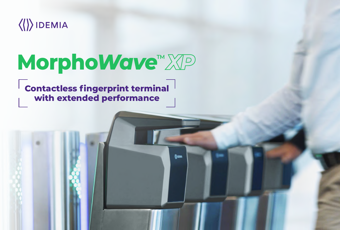



# **with extended performance**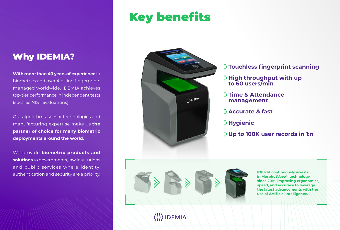# Key benefits



**With more than 40 years of experience** in biometrics and over 4 billion fingerprints managed worldwide, IDEMIA achieves top-tier performance in independent tests (such as NIST evaluations).

Our algorithms, sensor technologies and manufacturing expertise make us **the partner of choice for many biometric deployments around the world.**

We provide **biometric products and solutions** to governments, law institutions and public services where identity, authentication and security are a priority.

### Why IDE**MIA?**

**IDEMIA continuously invests in Morpho***Wave*TM **technology since 2016, improving ergonomics, speed, and accuracy to leverage the latest advancements with the use of Artificial Intelligence.**

#### **Touchless fingerprint scanning**

## **High throughput with up**

- 
- **to 60 users/min**
- **Time & Attendance management**
- **Accurate & fast**
- **Hygienic**
- 



**IDEMIA** 

#### **Up to 100K user records in 1:n**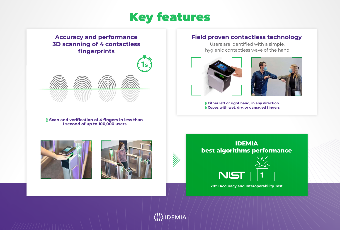



## $\langle\langle\rangle\rangle$ IDEMIA



**Field proven contactless technology**

Users are identified with a simple, hygienic contactless wave of the hand





**Either left or right hand, in any direction Copes with wet, dry, or damaged fingers**

#### **Accuracy and performance 3D scanning of 4 contactless fingerprints**

**Scan and verification of 4 fingers in less than 1 second of up to 100,000 users**







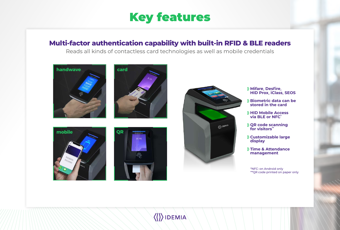# Key features

### **Multi-factor authentication capability with built-in RFID & BLE readers**

Reads all kinds of contactless card technologies as well as mobile credentials

**Mifare, Desfire, HID Prox, iClass, SEOS**

**Biometric data can be stored in the card**

**HID Mobile Access via BLE or NFC\***

**QR code scanning for visitors\*\***

**Customizable large** 

**Time & Attendance management**



\*NFC: on Android only \*\*QR code printed on paper only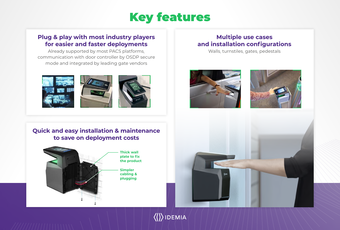

#### **Multiple use cases and installation configurations**



Walls, turnstiles, gates, pedestals





 $\langle\langle\rangle\rangle$ IDEMIA







#### **Plug & play with most industry players for easier and faster deployments**

Already supported by most PACS platforms, communication with door controller by OSDP secure mode and integrated by leading gate vendors

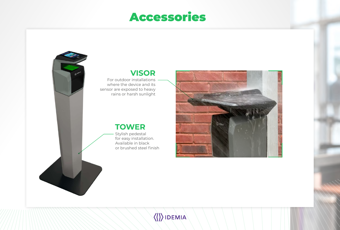## Accessories

### **TOWER**

Stylish pedestal for easy installation. Available in black or brushed steel finish









For outdoor installations where the device and its sensor are exposed to heavy rains or harsh sunlight

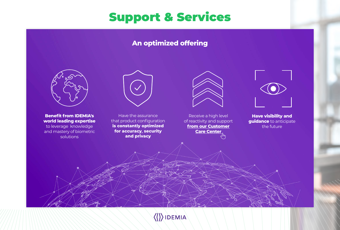# Support & Services

**Benefit from IDEMIA's world leading expertise**

to leverage knowledge and mastery of biometric solutions



Receive a high level of reactivity and support **[from our Customer](https://biometricdevices.idemia.com/sfc/servlet.shepherd/document/download/0696700000MZycmAAD) [Care Center](https://biometricdevices.idemia.com/sfc/servlet.shepherd/document/download/0696700000MZycmAAD)**





the future

Have the assurance that product configuration **is constantly optimized for accuracy, security and privacy**



### **An optimized offering**